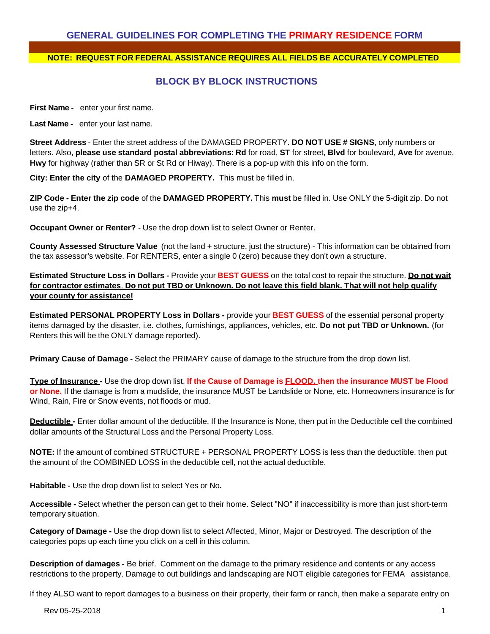### **GENERAL GUIDELINES FOR COMPLETING THE PRIMARY RESIDENCE FORM**

#### **NOTE: REQUEST FOR FEDERAL ASSISTANCE REQUIRES ALL FIELDS BE ACCURATELY COMPLETED**

### **BLOCK BY BLOCK INSTRUCTIONS**

**First Name** - enter your first name.

**Last Name -** enter your last name.

**Street Address** - Enter the street address of the DAMAGED PROPERTY. **DO NOT USE # SIGNS**, only numbers or letters. Also, **please use standard postal abbreviations**: **Rd** for road, **ST** for street, **Blvd** for boulevard, **Ave** for avenue, **Hwy** for highway (rather than SR or St Rd or Hiway). There is a pop-up with this info on the form.

**City: Enter the city** of the **DAMAGED PROPERTY.** This must be filled in.

**ZIP Code - Enter the zip code** of the **DAMAGED PROPERTY.** This **must** be filled in. Use ONLY the 5-digit zip. Do not use the zip+4.

**Occupant Owner or Renter?** - Use the drop down list to select Owner or Renter.

**County Assessed Structure Value** (not the land + structure, just the structure) - This information can be obtained from the tax assessor's website. For RENTERS, enter a single 0 (zero) because they don't own a structure.

**Estimated Structure Loss in Dollars -** Provide your **BEST GUESS** on the total cost to repair the structure. **Do not wait** for contractor estimates. Do not put TBD or Unknown. Do not leave this field blank. That will not help qualify **your county for assistance!**

**Estimated PERSONAL PROPERTY Loss in Dollars -** provide your **BEST GUESS** of the essential personal property items damaged by the disaster, i.e. clothes, furnishings, appliances, vehicles, etc. **Do not put TBD or Unknown.** (for Renters this will be the ONLY damage reported).

**Primary Cause of Damage -** Select the PRIMARY cause of damage to the structure from the drop down list.

Type of Insurance - Use the drop down list. If the Cause of Damage is **FLOOD**, then the insurance MUST be Flood **or None.** If the damage is from a mudslide, the insurance MUST be Landslide or None, etc. Homeowners insurance is for Wind, Rain, Fire or Snow events, not floods or mud.

**Deductible -** Enter dollar amount of the deductible. If the Insurance is None, then put in the Deductible cell the combined dollar amounts of the Structural Loss and the Personal Property Loss.

**NOTE:** If the amount of combined STRUCTURE + PERSONAL PROPERTY LOSS is less than the deductible, then put the amount of the COMBINED LOSS in the deductible cell, not the actual deductible.

**Habitable -** Use the drop down list to select Yes or No**.**

**Accessible -** Select whether the person can get to their home. Select "NO" if inaccessibility is more than just short-term temporary situation.

**Category of Damage -** Use the drop down list to select Affected, Minor, Major or Destroyed. The description of the categories pops up each time you click on a cell in this column.

**Description of damages -** Be brief. Comment on the damage to the primary residence and contents or any access restrictions to the property. Damage to out buildings and landscaping are NOT eligible categories for FEMA assistance.

If they ALSO want to report damages to a business on their property, their farm or ranch, then make a separate entry on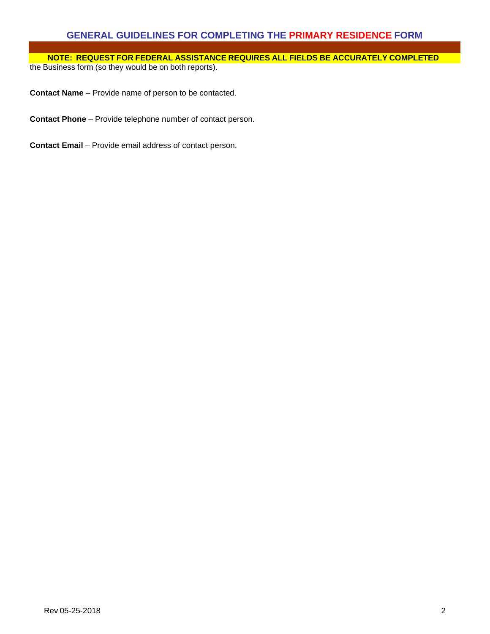# **GENERAL GUIDELINES FOR COMPLETING THE PRIMARY RESIDENCE FORM**

**NOTE: REQUEST FOR FEDERAL ASSISTANCE REQUIRES ALL FIELDS BE ACCURATELY COMPLETED** the Business form (so they would be on both reports).

**Contact Name** – Provide name of person to be contacted.

**Contact Phone** – Provide telephone number of contact person.

**Contact Email** – Provide email address of contact person.